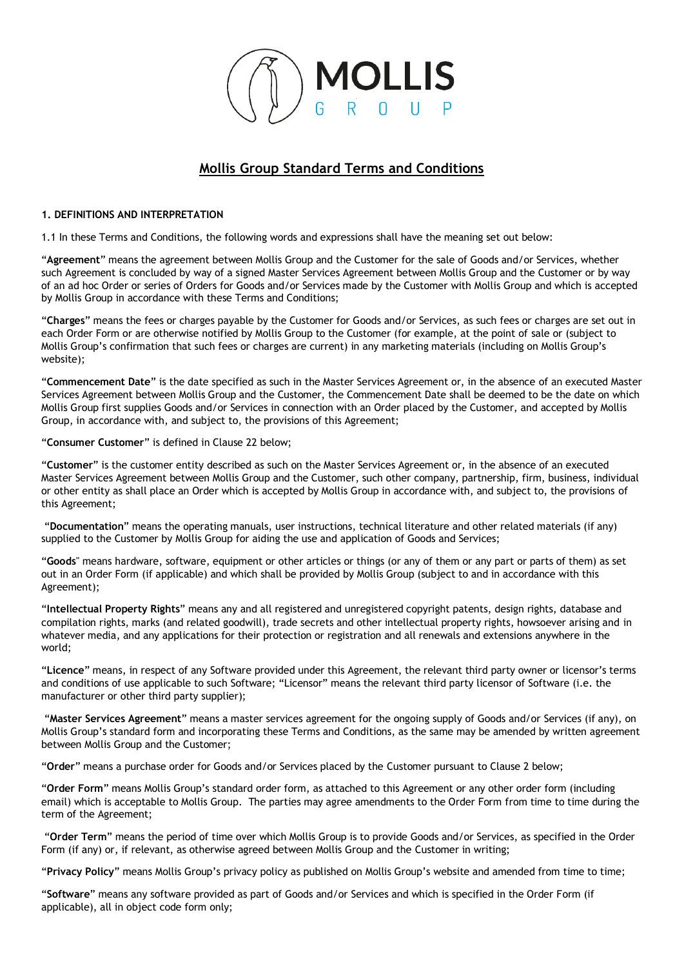

# **Mollis Group Standard Terms and Conditions**

### **1. DEFINITIONS AND INTERPRETATION**

1.1 In these Terms and Conditions, the following words and expressions shall have the meaning set out below:

"**Agreement**" means the agreement between Mollis Group and the Customer for the sale of Goods and/or Services, whether such Agreement is concluded by way of a signed Master Services Agreement between Mollis Group and the Customer or by way of an ad hoc Order or series of Orders for Goods and/or Services made by the Customer with Mollis Group and which is accepted by Mollis Group in accordance with these Terms and Conditions;

"**Charges**" means the fees or charges payable by the Customer for Goods and/or Services, as such fees or charges are set out in each Order Form or are otherwise notified by Mollis Group to the Customer (for example, at the point of sale or (subject to Mollis Group's confirmation that such fees or charges are current) in any marketing materials (including on Mollis Group's website);

"**Commencement Date**" is the date specified as such in the Master Services Agreement or, in the absence of an executed Master Services Agreement between Mollis Group and the Customer, the Commencement Date shall be deemed to be the date on which Mollis Group first supplies Goods and/or Services in connection with an Order placed by the Customer, and accepted by Mollis Group, in accordance with, and subject to, the provisions of this Agreement;

"**Consumer Customer**" is defined in Clause 22 below;

"**Customer**" is the customer entity described as such on the Master Services Agreement or, in the absence of an executed Master Services Agreement between Mollis Group and the Customer, such other company, partnership, firm, business, individual or other entity as shall place an Order which is accepted by Mollis Group in accordance with, and subject to, the provisions of this Agreement;

"**Documentation**" means the operating manuals, user instructions, technical literature and other related materials (if any) supplied to the Customer by Mollis Group for aiding the use and application of Goods and Services;

"**Goods**" means hardware, software, equipment or other articles or things (or any of them or any part or parts of them) as set out in an Order Form (if applicable) and which shall be provided by Mollis Group (subject to and in accordance with this Agreement);

"**Intellectual Property Rights**" means any and all registered and unregistered copyright patents, design rights, database and compilation rights, marks (and related goodwill), trade secrets and other intellectual property rights, howsoever arising and in whatever media, and any applications for their protection or registration and all renewals and extensions anywhere in the world;

"**Licence**" means, in respect of any Software provided under this Agreement, the relevant third party owner or licensor's terms and conditions of use applicable to such Software; "Licensor" means the relevant third party licensor of Software (i.e. the manufacturer or other third party supplier);

"**Master Services Agreement**" means a master services agreement for the ongoing supply of Goods and/or Services (if any), on Mollis Group's standard form and incorporating these Terms and Conditions, as the same may be amended by written agreement between Mollis Group and the Customer;

"**Order**" means a purchase order for Goods and/or Services placed by the Customer pursuant to Clause 2 below;

"**Order Form**" means Mollis Group's standard order form, as attached to this Agreement or any other order form (including email) which is acceptable to Mollis Group. The parties may agree amendments to the Order Form from time to time during the term of the Agreement;

"**Order Term**" means the period of time over which Mollis Group is to provide Goods and/or Services, as specified in the Order Form (if any) or, if relevant, as otherwise agreed between Mollis Group and the Customer in writing;

"**Privacy Policy**" means Mollis Group's privacy policy as published on Mollis Group's website and amended from time to time;

"**Software**" means any software provided as part of Goods and/or Services and which is specified in the Order Form (if applicable), all in object code form only;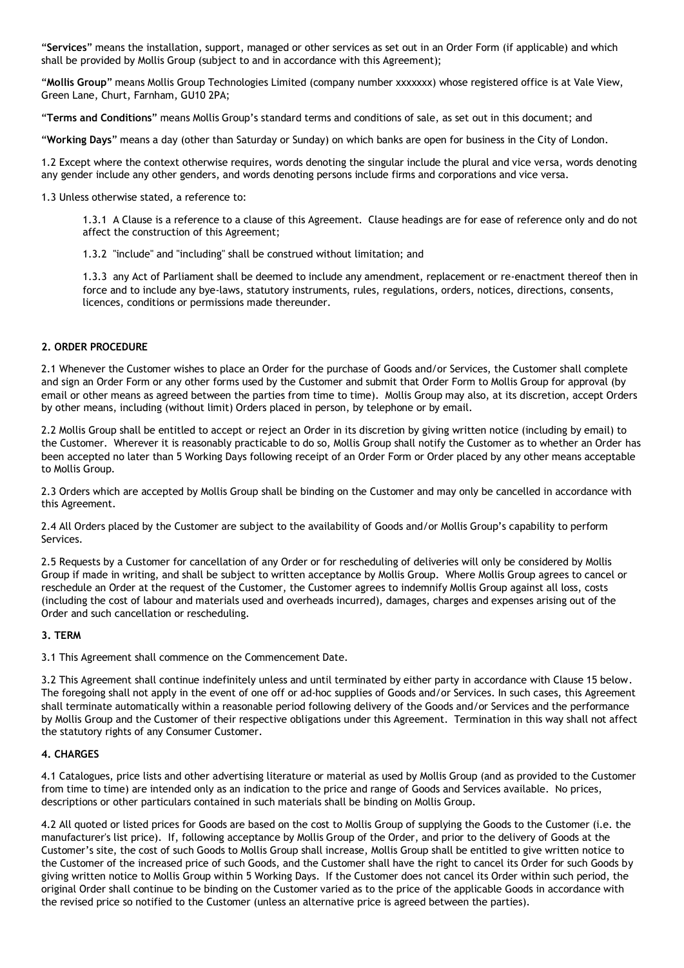"**Services**" means the installation, support, managed or other services as set out in an Order Form (if applicable) and which shall be provided by Mollis Group (subject to and in accordance with this Agreement);

"**Mollis Group**" means Mollis Group Technologies Limited (company number xxxxxxx) whose registered office is at Vale View, Green Lane, Churt, Farnham, GU10 2PA;

"**Terms and Conditions**" means Mollis Group's standard terms and conditions of sale, as set out in this document; and

"**Working Days**" means a day (other than Saturday or Sunday) on which banks are open for business in the City of London.

1.2 Except where the context otherwise requires, words denoting the singular include the plural and vice versa, words denoting any gender include any other genders, and words denoting persons include firms and corporations and vice versa.

1.3 Unless otherwise stated, a reference to:

1.3.1 A Clause is a reference to a clause of this Agreement. Clause headings are for ease of reference only and do not affect the construction of this Agreement;

1.3.2 "include" and "including" shall be construed without limitation; and

1.3.3 any Act of Parliament shall be deemed to include any amendment, replacement or re-enactment thereof then in force and to include any bye-laws, statutory instruments, rules, regulations, orders, notices, directions, consents, licences, conditions or permissions made thereunder.

### **2. ORDER PROCEDURE**

2.1 Whenever the Customer wishes to place an Order for the purchase of Goods and/or Services, the Customer shall complete and sign an Order Form or any other forms used by the Customer and submit that Order Form to Mollis Group for approval (by email or other means as agreed between the parties from time to time). Mollis Group may also, at its discretion, accept Orders by other means, including (without limit) Orders placed in person, by telephone or by email.

2.2 Mollis Group shall be entitled to accept or reject an Order in its discretion by giving written notice (including by email) to the Customer. Wherever it is reasonably practicable to do so, Mollis Group shall notify the Customer as to whether an Order has been accepted no later than 5 Working Days following receipt of an Order Form or Order placed by any other means acceptable to Mollis Group.

2.3 Orders which are accepted by Mollis Group shall be binding on the Customer and may only be cancelled in accordance with this Agreement.

2.4 All Orders placed by the Customer are subject to the availability of Goods and/or Mollis Group's capability to perform Services.

2.5 Requests by a Customer for cancellation of any Order or for rescheduling of deliveries will only be considered by Mollis Group if made in writing, and shall be subject to written acceptance by Mollis Group. Where Mollis Group agrees to cancel or reschedule an Order at the request of the Customer, the Customer agrees to indemnify Mollis Group against all loss, costs (including the cost of labour and materials used and overheads incurred), damages, charges and expenses arising out of the Order and such cancellation or rescheduling.

### **3. TERM**

3.1 This Agreement shall commence on the Commencement Date.

3.2 This Agreement shall continue indefinitely unless and until terminated by either party in accordance with Clause 15 below. The foregoing shall not apply in the event of one off or ad-hoc supplies of Goods and/or Services. In such cases, this Agreement shall terminate automatically within a reasonable period following delivery of the Goods and/or Services and the performance by Mollis Group and the Customer of their respective obligations under this Agreement. Termination in this way shall not affect the statutory rights of any Consumer Customer.

### **4. CHARGES**

4.1 Catalogues, price lists and other advertising literature or material as used by Mollis Group (and as provided to the Customer from time to time) are intended only as an indication to the price and range of Goods and Services available. No prices, descriptions or other particulars contained in such materials shall be binding on Mollis Group.

4.2 All quoted or listed prices for Goods are based on the cost to Mollis Group of supplying the Goods to the Customer (i.e. the manufacturer's list price). If, following acceptance by Mollis Group of the Order, and prior to the delivery of Goods at the Customer's site, the cost of such Goods to Mollis Group shall increase, Mollis Group shall be entitled to give written notice to the Customer of the increased price of such Goods, and the Customer shall have the right to cancel its Order for such Goods by giving written notice to Mollis Group within 5 Working Days. If the Customer does not cancel its Order within such period, the original Order shall continue to be binding on the Customer varied as to the price of the applicable Goods in accordance with the revised price so notified to the Customer (unless an alternative price is agreed between the parties).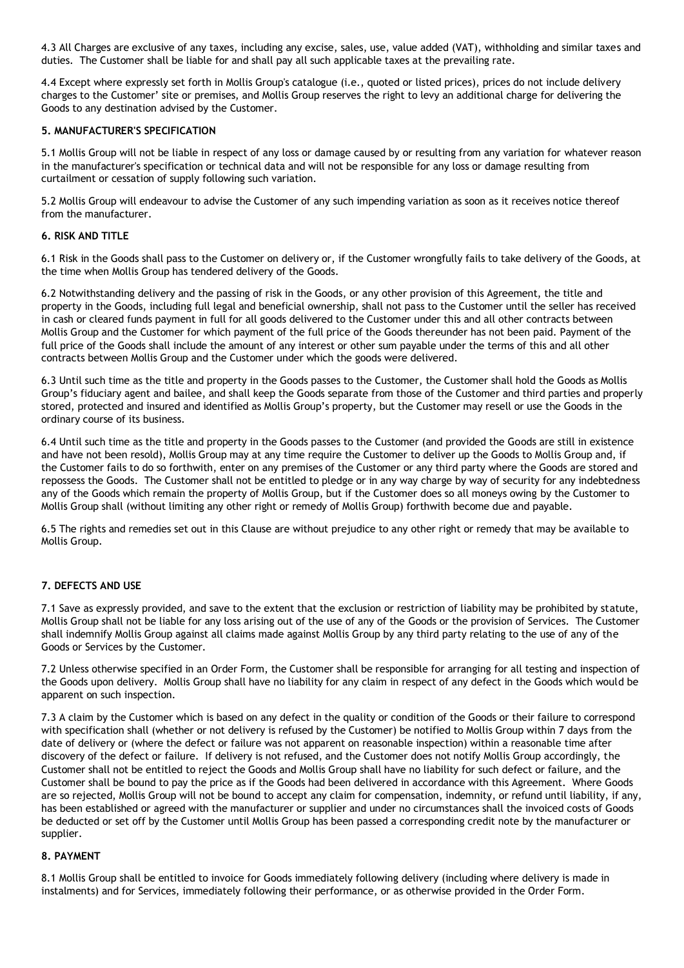4.3 All Charges are exclusive of any taxes, including any excise, sales, use, value added (VAT), withholding and similar taxes and duties. The Customer shall be liable for and shall pay all such applicable taxes at the prevailing rate.

4.4 Except where expressly set forth in Mollis Group's catalogue (i.e., quoted or listed prices), prices do not include delivery charges to the Customer' site or premises, and Mollis Group reserves the right to levy an additional charge for delivering the Goods to any destination advised by the Customer.

### **5. MANUFACTURER'S SPECIFICATION**

5.1 Mollis Group will not be liable in respect of any loss or damage caused by or resulting from any variation for whatever reason in the manufacturer's specification or technical data and will not be responsible for any loss or damage resulting from curtailment or cessation of supply following such variation.

5.2 Mollis Group will endeavour to advise the Customer of any such impending variation as soon as it receives notice thereof from the manufacturer.

### **6. RISK AND TITLE**

6.1 Risk in the Goods shall pass to the Customer on delivery or, if the Customer wrongfully fails to take delivery of the Goods, at the time when Mollis Group has tendered delivery of the Goods.

6.2 Notwithstanding delivery and the passing of risk in the Goods, or any other provision of this Agreement, the title and property in the Goods, including full legal and beneficial ownership, shall not pass to the Customer until the seller has received in cash or cleared funds payment in full for all goods delivered to the Customer under this and all other contracts between Mollis Group and the Customer for which payment of the full price of the Goods thereunder has not been paid. Payment of the full price of the Goods shall include the amount of any interest or other sum payable under the terms of this and all other contracts between Mollis Group and the Customer under which the goods were delivered.

6.3 Until such time as the title and property in the Goods passes to the Customer, the Customer shall hold the Goods as Mollis Group's fiduciary agent and bailee, and shall keep the Goods separate from those of the Customer and third parties and properly stored, protected and insured and identified as Mollis Group's property, but the Customer may resell or use the Goods in the ordinary course of its business.

6.4 Until such time as the title and property in the Goods passes to the Customer (and provided the Goods are still in existence and have not been resold), Mollis Group may at any time require the Customer to deliver up the Goods to Mollis Group and, if the Customer fails to do so forthwith, enter on any premises of the Customer or any third party where the Goods are stored and repossess the Goods. The Customer shall not be entitled to pledge or in any way charge by way of security for any indebtedness any of the Goods which remain the property of Mollis Group, but if the Customer does so all moneys owing by the Customer to Mollis Group shall (without limiting any other right or remedy of Mollis Group) forthwith become due and payable.

6.5 The rights and remedies set out in this Clause are without prejudice to any other right or remedy that may be available to Mollis Group.

### **7. DEFECTS AND USE**

7.1 Save as expressly provided, and save to the extent that the exclusion or restriction of liability may be prohibited by statute, Mollis Group shall not be liable for any loss arising out of the use of any of the Goods or the provision of Services. The Customer shall indemnify Mollis Group against all claims made against Mollis Group by any third party relating to the use of any of the Goods or Services by the Customer.

7.2 Unless otherwise specified in an Order Form, the Customer shall be responsible for arranging for all testing and inspection of the Goods upon delivery. Mollis Group shall have no liability for any claim in respect of any defect in the Goods which would be apparent on such inspection.

7.3 A claim by the Customer which is based on any defect in the quality or condition of the Goods or their failure to correspond with specification shall (whether or not delivery is refused by the Customer) be notified to Mollis Group within 7 days from the date of delivery or (where the defect or failure was not apparent on reasonable inspection) within a reasonable time after discovery of the defect or failure. If delivery is not refused, and the Customer does not notify Mollis Group accordingly, the Customer shall not be entitled to reject the Goods and Mollis Group shall have no liability for such defect or failure, and the Customer shall be bound to pay the price as if the Goods had been delivered in accordance with this Agreement. Where Goods are so rejected, Mollis Group will not be bound to accept any claim for compensation, indemnity, or refund until liability, if any, has been established or agreed with the manufacturer or supplier and under no circumstances shall the invoiced costs of Goods be deducted or set off by the Customer until Mollis Group has been passed a corresponding credit note by the manufacturer or supplier.

### **8. PAYMENT**

8.1 Mollis Group shall be entitled to invoice for Goods immediately following delivery (including where delivery is made in instalments) and for Services, immediately following their performance, or as otherwise provided in the Order Form.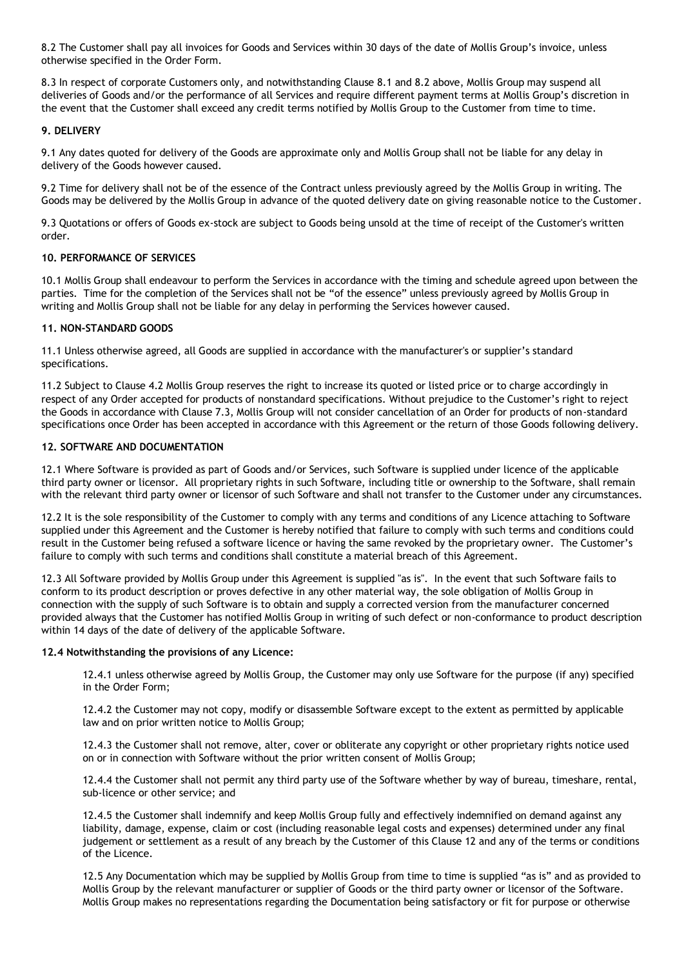8.2 The Customer shall pay all invoices for Goods and Services within 30 days of the date of Mollis Group's invoice, unless otherwise specified in the Order Form.

8.3 In respect of corporate Customers only, and notwithstanding Clause 8.1 and 8.2 above, Mollis Group may suspend all deliveries of Goods and/or the performance of all Services and require different payment terms at Mollis Group's discretion in the event that the Customer shall exceed any credit terms notified by Mollis Group to the Customer from time to time.

### **9. DELIVERY**

9.1 Any dates quoted for delivery of the Goods are approximate only and Mollis Group shall not be liable for any delay in delivery of the Goods however caused.

9.2 Time for delivery shall not be of the essence of the Contract unless previously agreed by the Mollis Group in writing. The Goods may be delivered by the Mollis Group in advance of the quoted delivery date on giving reasonable notice to the Customer.

9.3 Quotations or offers of Goods ex-stock are subject to Goods being unsold at the time of receipt of the Customer's written order.

### **10. PERFORMANCE OF SERVICES**

10.1 Mollis Group shall endeavour to perform the Services in accordance with the timing and schedule agreed upon between the parties. Time for the completion of the Services shall not be "of the essence" unless previously agreed by Mollis Group in writing and Mollis Group shall not be liable for any delay in performing the Services however caused.

#### **11. NON-STANDARD GOODS**

11.1 Unless otherwise agreed, all Goods are supplied in accordance with the manufacturer's or supplier's standard specifications.

11.2 Subject to Clause 4.2 Mollis Group reserves the right to increase its quoted or listed price or to charge accordingly in respect of any Order accepted for products of nonstandard specifications. Without prejudice to the Customer's right to reject the Goods in accordance with Clause 7.3, Mollis Group will not consider cancellation of an Order for products of non-standard specifications once Order has been accepted in accordance with this Agreement or the return of those Goods following delivery.

### **12. SOFTWARE AND DOCUMENTATION**

12.1 Where Software is provided as part of Goods and/or Services, such Software is supplied under licence of the applicable third party owner or licensor. All proprietary rights in such Software, including title or ownership to the Software, shall remain with the relevant third party owner or licensor of such Software and shall not transfer to the Customer under any circumstances.

12.2 It is the sole responsibility of the Customer to comply with any terms and conditions of any Licence attaching to Software supplied under this Agreement and the Customer is hereby notified that failure to comply with such terms and conditions could result in the Customer being refused a software licence or having the same revoked by the proprietary owner. The Customer's failure to comply with such terms and conditions shall constitute a material breach of this Agreement.

12.3 All Software provided by Mollis Group under this Agreement is supplied "as is". In the event that such Software fails to conform to its product description or proves defective in any other material way, the sole obligation of Mollis Group in connection with the supply of such Software is to obtain and supply a corrected version from the manufacturer concerned provided always that the Customer has notified Mollis Group in writing of such defect or non-conformance to product description within 14 days of the date of delivery of the applicable Software.

#### **12.4 Notwithstanding the provisions of any Licence:**

12.4.1 unless otherwise agreed by Mollis Group, the Customer may only use Software for the purpose (if any) specified in the Order Form;

12.4.2 the Customer may not copy, modify or disassemble Software except to the extent as permitted by applicable law and on prior written notice to Mollis Group;

12.4.3 the Customer shall not remove, alter, cover or obliterate any copyright or other proprietary rights notice used on or in connection with Software without the prior written consent of Mollis Group;

12.4.4 the Customer shall not permit any third party use of the Software whether by way of bureau, timeshare, rental, sub-licence or other service; and

12.4.5 the Customer shall indemnify and keep Mollis Group fully and effectively indemnified on demand against any liability, damage, expense, claim or cost (including reasonable legal costs and expenses) determined under any final judgement or settlement as a result of any breach by the Customer of this Clause 12 and any of the terms or conditions of the Licence.

12.5 Any Documentation which may be supplied by Mollis Group from time to time is supplied "as is" and as provided to Mollis Group by the relevant manufacturer or supplier of Goods or the third party owner or licensor of the Software. Mollis Group makes no representations regarding the Documentation being satisfactory or fit for purpose or otherwise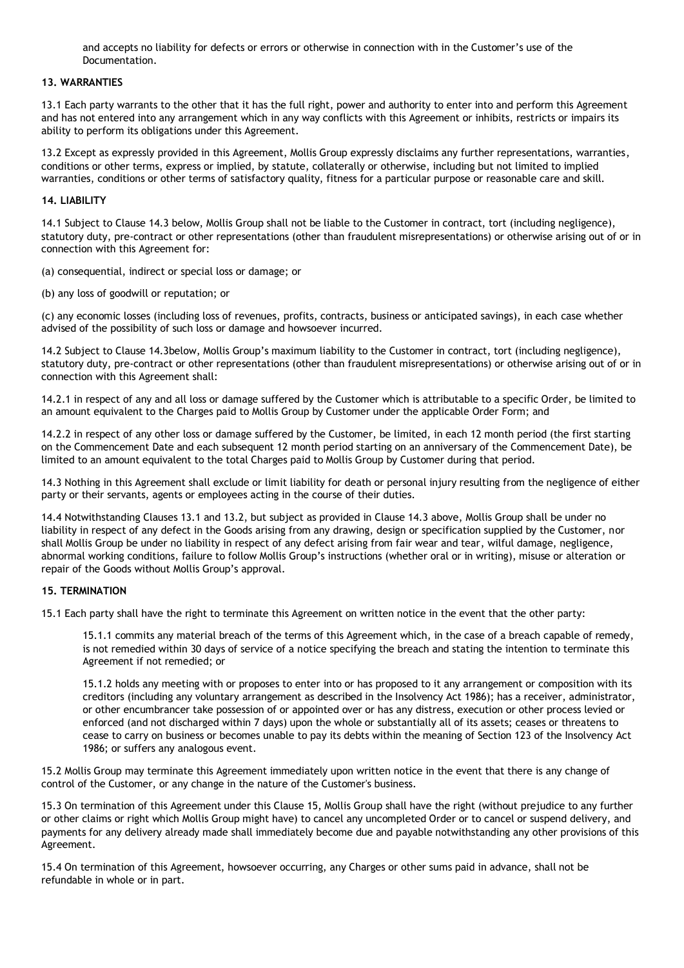and accepts no liability for defects or errors or otherwise in connection with in the Customer's use of the Documentation.

### **13. WARRANTIES**

13.1 Each party warrants to the other that it has the full right, power and authority to enter into and perform this Agreement and has not entered into any arrangement which in any way conflicts with this Agreement or inhibits, restricts or impairs its ability to perform its obligations under this Agreement.

13.2 Except as expressly provided in this Agreement, Mollis Group expressly disclaims any further representations, warranties, conditions or other terms, express or implied, by statute, collaterally or otherwise, including but not limited to implied warranties, conditions or other terms of satisfactory quality, fitness for a particular purpose or reasonable care and skill.

#### **14. LIABILITY**

14.1 Subject to Clause 14.3 below, Mollis Group shall not be liable to the Customer in contract, tort (including negligence), statutory duty, pre-contract or other representations (other than fraudulent misrepresentations) or otherwise arising out of or in connection with this Agreement for:

(a) consequential, indirect or special loss or damage; or

(b) any loss of goodwill or reputation; or

(c) any economic losses (including loss of revenues, profits, contracts, business or anticipated savings), in each case whether advised of the possibility of such loss or damage and howsoever incurred.

14.2 Subject to Clause 14.3below, Mollis Group's maximum liability to the Customer in contract, tort (including negligence), statutory duty, pre-contract or other representations (other than fraudulent misrepresentations) or otherwise arising out of or in connection with this Agreement shall:

14.2.1 in respect of any and all loss or damage suffered by the Customer which is attributable to a specific Order, be limited to an amount equivalent to the Charges paid to Mollis Group by Customer under the applicable Order Form; and

14.2.2 in respect of any other loss or damage suffered by the Customer, be limited, in each 12 month period (the first starting on the Commencement Date and each subsequent 12 month period starting on an anniversary of the Commencement Date), be limited to an amount equivalent to the total Charges paid to Mollis Group by Customer during that period.

14.3 Nothing in this Agreement shall exclude or limit liability for death or personal injury resulting from the negligence of either party or their servants, agents or employees acting in the course of their duties.

14.4 Notwithstanding Clauses 13.1 and 13.2, but subject as provided in Clause 14.3 above, Mollis Group shall be under no liability in respect of any defect in the Goods arising from any drawing, design or specification supplied by the Customer, nor shall Mollis Group be under no liability in respect of any defect arising from fair wear and tear, wilful damage, negligence, abnormal working conditions, failure to follow Mollis Group's instructions (whether oral or in writing), misuse or alteration or repair of the Goods without Mollis Group's approval.

#### **15. TERMINATION**

15.1 Each party shall have the right to terminate this Agreement on written notice in the event that the other party:

15.1.1 commits any material breach of the terms of this Agreement which, in the case of a breach capable of remedy, is not remedied within 30 days of service of a notice specifying the breach and stating the intention to terminate this Agreement if not remedied; or

15.1.2 holds any meeting with or proposes to enter into or has proposed to it any arrangement or composition with its creditors (including any voluntary arrangement as described in the Insolvency Act 1986); has a receiver, administrator, or other encumbrancer take possession of or appointed over or has any distress, execution or other process levied or enforced (and not discharged within 7 days) upon the whole or substantially all of its assets; ceases or threatens to cease to carry on business or becomes unable to pay its debts within the meaning of Section 123 of the Insolvency Act 1986; or suffers any analogous event.

15.2 Mollis Group may terminate this Agreement immediately upon written notice in the event that there is any change of control of the Customer, or any change in the nature of the Customer's business.

15.3 On termination of this Agreement under this Clause 15, Mollis Group shall have the right (without prejudice to any further or other claims or right which Mollis Group might have) to cancel any uncompleted Order or to cancel or suspend delivery, and payments for any delivery already made shall immediately become due and payable notwithstanding any other provisions of this Agreement.

15.4 On termination of this Agreement, howsoever occurring, any Charges or other sums paid in advance, shall not be refundable in whole or in part.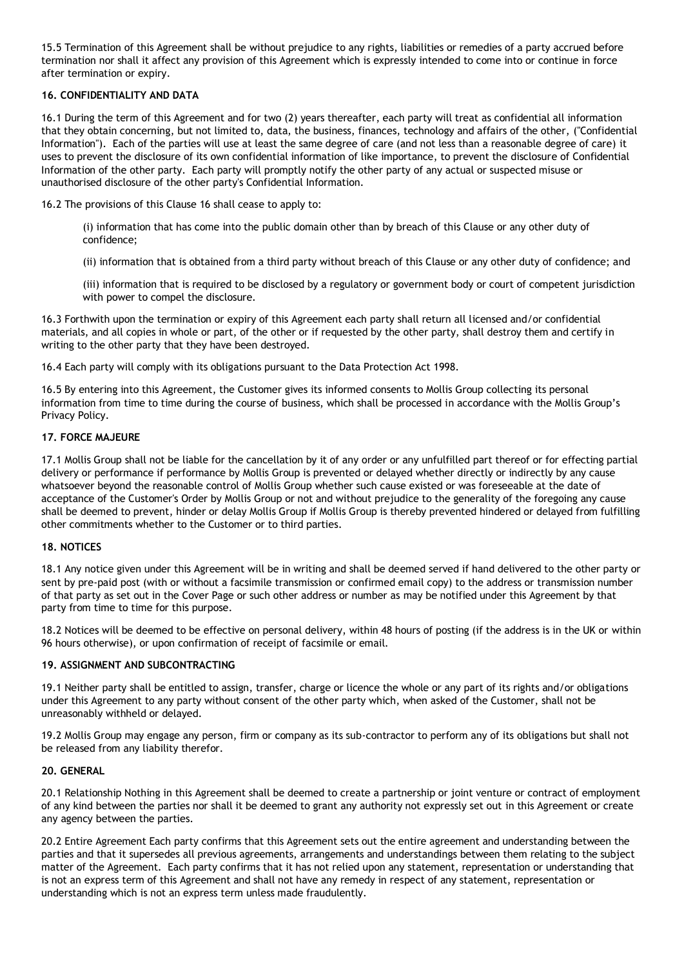15.5 Termination of this Agreement shall be without prejudice to any rights, liabilities or remedies of a party accrued before termination nor shall it affect any provision of this Agreement which is expressly intended to come into or continue in force after termination or expiry.

# **16. CONFIDENTIALITY AND DATA**

16.1 During the term of this Agreement and for two (2) years thereafter, each party will treat as confidential all information that they obtain concerning, but not limited to, data, the business, finances, technology and affairs of the other, ("Confidential Information"). Each of the parties will use at least the same degree of care (and not less than a reasonable degree of care) it uses to prevent the disclosure of its own confidential information of like importance, to prevent the disclosure of Confidential Information of the other party. Each party will promptly notify the other party of any actual or suspected misuse or unauthorised disclosure of the other party's Confidential Information.

16.2 The provisions of this Clause 16 shall cease to apply to:

(i) information that has come into the public domain other than by breach of this Clause or any other duty of confidence;

(ii) information that is obtained from a third party without breach of this Clause or any other duty of confidence; and

(iii) information that is required to be disclosed by a regulatory or government body or court of competent jurisdiction with power to compel the disclosure.

16.3 Forthwith upon the termination or expiry of this Agreement each party shall return all licensed and/or confidential materials, and all copies in whole or part, of the other or if requested by the other party, shall destroy them and certify in writing to the other party that they have been destroyed.

16.4 Each party will comply with its obligations pursuant to the Data Protection Act 1998.

16.5 By entering into this Agreement, the Customer gives its informed consents to Mollis Group collecting its personal information from time to time during the course of business, which shall be processed in accordance with the Mollis Group's Privacy Policy.

# **17. FORCE MAJEURE**

17.1 Mollis Group shall not be liable for the cancellation by it of any order or any unfulfilled part thereof or for effecting partial delivery or performance if performance by Mollis Group is prevented or delayed whether directly or indirectly by any cause whatsoever beyond the reasonable control of Mollis Group whether such cause existed or was foreseeable at the date of acceptance of the Customer's Order by Mollis Group or not and without prejudice to the generality of the foregoing any cause shall be deemed to prevent, hinder or delay Mollis Group if Mollis Group is thereby prevented hindered or delayed from fulfilling other commitments whether to the Customer or to third parties.

### **18. NOTICES**

18.1 Any notice given under this Agreement will be in writing and shall be deemed served if hand delivered to the other party or sent by pre-paid post (with or without a facsimile transmission or confirmed email copy) to the address or transmission number of that party as set out in the Cover Page or such other address or number as may be notified under this Agreement by that party from time to time for this purpose.

18.2 Notices will be deemed to be effective on personal delivery, within 48 hours of posting (if the address is in the UK or within 96 hours otherwise), or upon confirmation of receipt of facsimile or email.

# **19. ASSIGNMENT AND SUBCONTRACTING**

19.1 Neither party shall be entitled to assign, transfer, charge or licence the whole or any part of its rights and/or obligations under this Agreement to any party without consent of the other party which, when asked of the Customer, shall not be unreasonably withheld or delayed.

19.2 Mollis Group may engage any person, firm or company as its sub-contractor to perform any of its obligations but shall not be released from any liability therefor.

### **20. GENERAL**

20.1 Relationship Nothing in this Agreement shall be deemed to create a partnership or joint venture or contract of employment of any kind between the parties nor shall it be deemed to grant any authority not expressly set out in this Agreement or create any agency between the parties.

20.2 Entire Agreement Each party confirms that this Agreement sets out the entire agreement and understanding between the parties and that it supersedes all previous agreements, arrangements and understandings between them relating to the subject matter of the Agreement. Each party confirms that it has not relied upon any statement, representation or understanding that is not an express term of this Agreement and shall not have any remedy in respect of any statement, representation or understanding which is not an express term unless made fraudulently.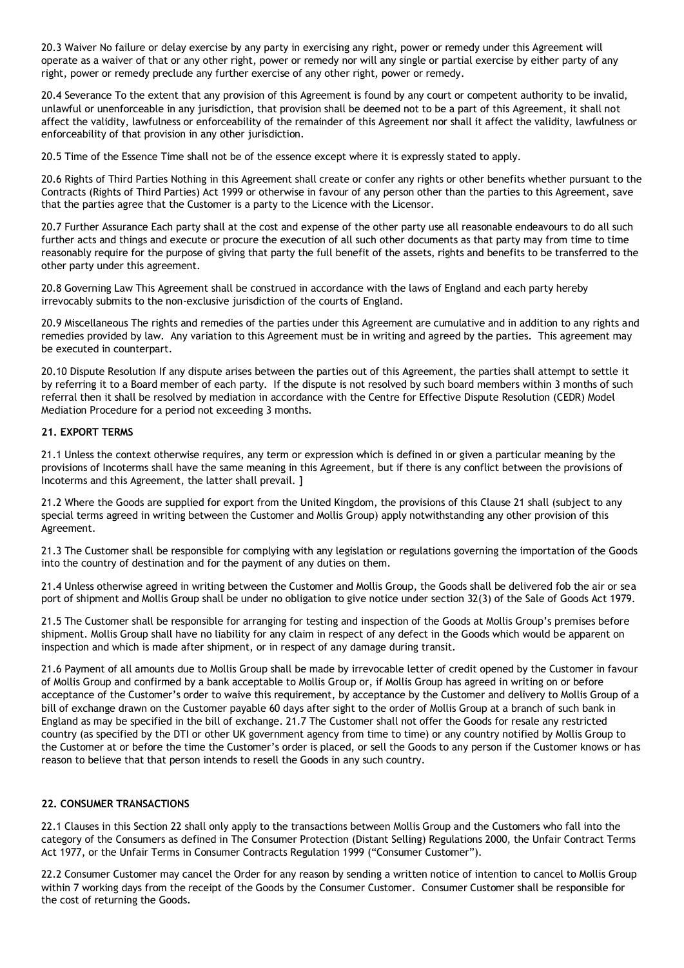20.3 Waiver No failure or delay exercise by any party in exercising any right, power or remedy under this Agreement will operate as a waiver of that or any other right, power or remedy nor will any single or partial exercise by either party of any right, power or remedy preclude any further exercise of any other right, power or remedy.

20.4 Severance To the extent that any provision of this Agreement is found by any court or competent authority to be invalid, unlawful or unenforceable in any jurisdiction, that provision shall be deemed not to be a part of this Agreement, it shall not affect the validity, lawfulness or enforceability of the remainder of this Agreement nor shall it affect the validity, lawfulness or enforceability of that provision in any other jurisdiction.

20.5 Time of the Essence Time shall not be of the essence except where it is expressly stated to apply.

20.6 Rights of Third Parties Nothing in this Agreement shall create or confer any rights or other benefits whether pursuant to the Contracts (Rights of Third Parties) Act 1999 or otherwise in favour of any person other than the parties to this Agreement, save that the parties agree that the Customer is a party to the Licence with the Licensor.

20.7 Further Assurance Each party shall at the cost and expense of the other party use all reasonable endeavours to do all such further acts and things and execute or procure the execution of all such other documents as that party may from time to time reasonably require for the purpose of giving that party the full benefit of the assets, rights and benefits to be transferred to the other party under this agreement.

20.8 Governing Law This Agreement shall be construed in accordance with the laws of England and each party hereby irrevocably submits to the non-exclusive jurisdiction of the courts of England.

20.9 Miscellaneous The rights and remedies of the parties under this Agreement are cumulative and in addition to any rights and remedies provided by law. Any variation to this Agreement must be in writing and agreed by the parties. This agreement may be executed in counterpart.

20.10 Dispute Resolution If any dispute arises between the parties out of this Agreement, the parties shall attempt to settle it by referring it to a Board member of each party. If the dispute is not resolved by such board members within 3 months of such referral then it shall be resolved by mediation in accordance with the Centre for Effective Dispute Resolution (CEDR) Model Mediation Procedure for a period not exceeding 3 months.

#### **21. EXPORT TERMS**

21.1 Unless the context otherwise requires, any term or expression which is defined in or given a particular meaning by the provisions of Incoterms shall have the same meaning in this Agreement, but if there is any conflict between the provisions of Incoterms and this Agreement, the latter shall prevail. ]

21.2 Where the Goods are supplied for export from the United Kingdom, the provisions of this Clause 21 shall (subject to any special terms agreed in writing between the Customer and Mollis Group) apply notwithstanding any other provision of this Agreement.

21.3 The Customer shall be responsible for complying with any legislation or regulations governing the importation of the Goods into the country of destination and for the payment of any duties on them.

21.4 Unless otherwise agreed in writing between the Customer and Mollis Group, the Goods shall be delivered fob the air or sea port of shipment and Mollis Group shall be under no obligation to give notice under section 32(3) of the Sale of Goods Act 1979.

21.5 The Customer shall be responsible for arranging for testing and inspection of the Goods at Mollis Group's premises before shipment. Mollis Group shall have no liability for any claim in respect of any defect in the Goods which would be apparent on inspection and which is made after shipment, or in respect of any damage during transit.

21.6 Payment of all amounts due to Mollis Group shall be made by irrevocable letter of credit opened by the Customer in favour of Mollis Group and confirmed by a bank acceptable to Mollis Group or, if Mollis Group has agreed in writing on or before acceptance of the Customer's order to waive this requirement, by acceptance by the Customer and delivery to Mollis Group of a bill of exchange drawn on the Customer payable 60 days after sight to the order of Mollis Group at a branch of such bank in England as may be specified in the bill of exchange. 21.7 The Customer shall not offer the Goods for resale any restricted country (as specified by the DTI or other UK government agency from time to time) or any country notified by Mollis Group to the Customer at or before the time the Customer's order is placed, or sell the Goods to any person if the Customer knows or has reason to believe that that person intends to resell the Goods in any such country.

### **22. CONSUMER TRANSACTIONS**

22.1 Clauses in this Section 22 shall only apply to the transactions between Mollis Group and the Customers who fall into the category of the Consumers as defined in The Consumer Protection (Distant Selling) Regulations 2000, the Unfair Contract Terms Act 1977, or the Unfair Terms in Consumer Contracts Regulation 1999 ("Consumer Customer").

22.2 Consumer Customer may cancel the Order for any reason by sending a written notice of intention to cancel to Mollis Group within 7 working days from the receipt of the Goods by the Consumer Customer. Consumer Customer shall be responsible for the cost of returning the Goods.